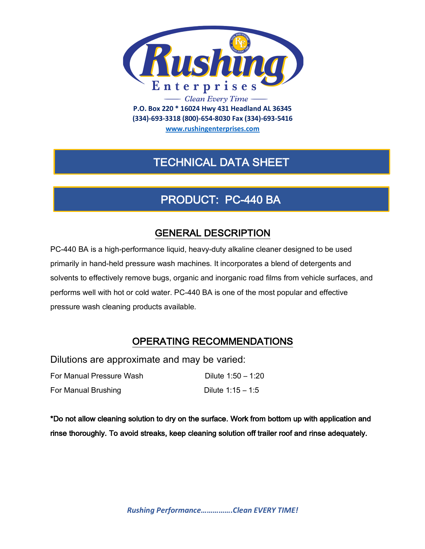

**(334)-693-3318 (800)-654-8030 Fax (334)-693-5416**

**www.rushingenterprises.com**

# TECHNICAL DATA SHEET

# PRODUCT: PC-440 BA

## GENERAL DESCRIPTION

PC-440 BA is a high-performance liquid, heavy-duty alkaline cleaner designed to be used primarily in hand-held pressure wash machines. It incorporates a blend of detergents and solvents to effectively remove bugs, organic and inorganic road films from vehicle surfaces, and performs well with hot or cold water. PC-440 BA is one of the most popular and effective pressure wash cleaning products available.

## OPERATING RECOMMENDATIONS

Dilutions are approximate and may be varied:

| For Manual Pressure Wash | Dilute 1:50 - 1:20  |
|--------------------------|---------------------|
| For Manual Brushing      | Dilute $1:15 - 1:5$ |

\*Do not allow cleaning solution to dry on the surface. Work from bottom up with application and rinse thoroughly. To avoid streaks, keep cleaning solution off trailer roof and rinse adequately.